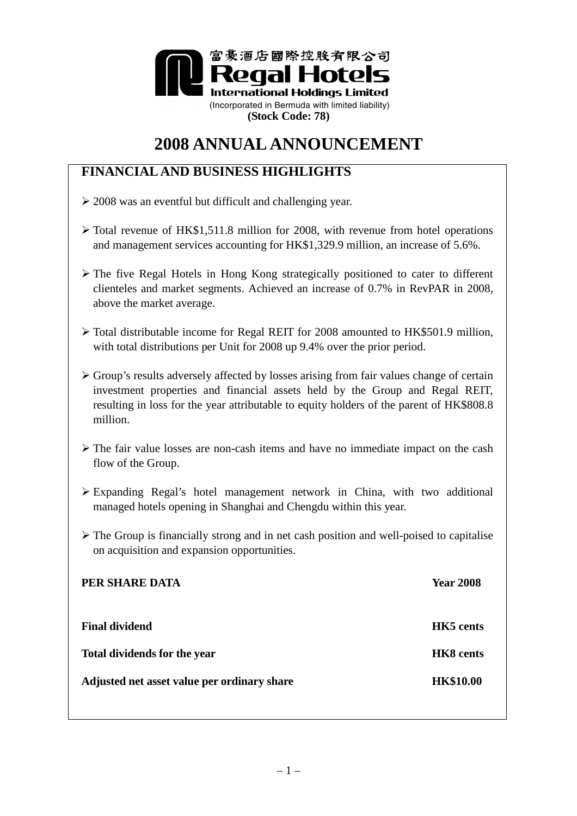

# **2008 ANNUAL ANNOUNCEMENT**

# **FINANCIAL AND BUSINESS HIGHLIGHTS**

- $\geq$  2008 was an eventful but difficult and challenging year.
- $\triangleright$  Total revenue of HK\$1,511.8 million for 2008, with revenue from hotel operations and management services accounting for HK\$1,329.9 million, an increase of 5.6%.
- The five Regal Hotels in Hong Kong strategically positioned to cater to different clienteles and market segments. Achieved an increase of 0.7% in RevPAR in 2008, above the market average.
- Total distributable income for Regal REIT for 2008 amounted to HK\$501.9 million, with total distributions per Unit for 2008 up 9.4% over the prior period.
- Group's results adversely affected by losses arising from fair values change of certain investment properties and financial assets held by the Group and Regal REIT, resulting in loss for the year attributable to equity holders of the parent of HK\$808.8 million.
- $\triangleright$  The fair value losses are non-cash items and have no immediate impact on the cash flow of the Group.
- Expanding Regal's hotel management network in China, with two additional managed hotels opening in Shanghai and Chengdu within this year.
- $\triangleright$  The Group is financially strong and in net cash position and well-poised to capitalise on acquisition and expansion opportunities.

| PER SHARE DATA                              | <b>Year 2008</b> |
|---------------------------------------------|------------------|
| <b>Final dividend</b>                       | <b>HK5</b> cents |
| <b>Total dividends for the year</b>         | <b>HK8</b> cents |
| Adjusted net asset value per ordinary share | <b>HK\$10.00</b> |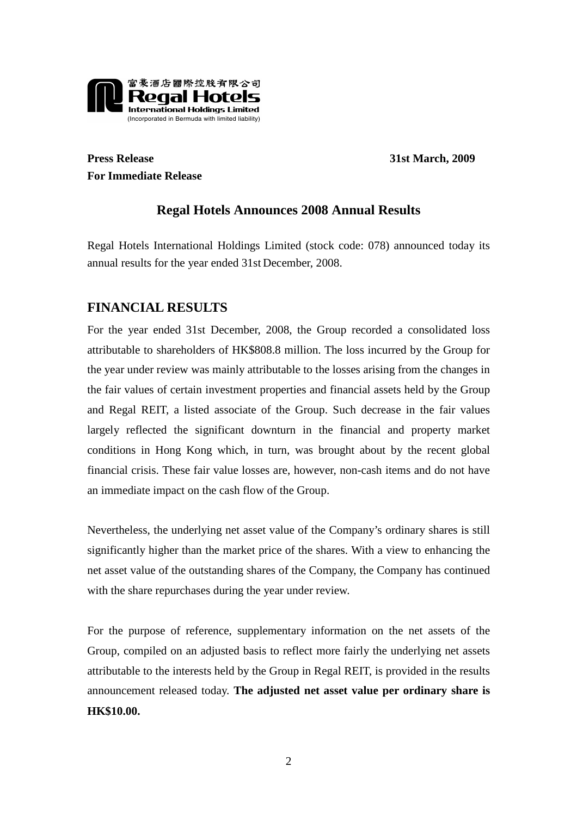

**Press Release 31st March, 2009 For Immediate Release** 

# **Regal Hotels Announces 2008 Annual Results**

Regal Hotels International Holdings Limited (stock code: 078) announced today its annual results for the year ended 31st December, 2008.

# **FINANCIAL RESULTS**

For the year ended 31st December, 2008, the Group recorded a consolidated loss attributable to shareholders of HK\$808.8 million. The loss incurred by the Group for the year under review was mainly attributable to the losses arising from the changes in the fair values of certain investment properties and financial assets held by the Group and Regal REIT, a listed associate of the Group. Such decrease in the fair values largely reflected the significant downturn in the financial and property market conditions in Hong Kong which, in turn, was brought about by the recent global financial crisis. These fair value losses are, however, non-cash items and do not have an immediate impact on the cash flow of the Group.

Nevertheless, the underlying net asset value of the Company's ordinary shares is still significantly higher than the market price of the shares. With a view to enhancing the net asset value of the outstanding shares of the Company, the Company has continued with the share repurchases during the year under review.

For the purpose of reference, supplementary information on the net assets of the Group, compiled on an adjusted basis to reflect more fairly the underlying net assets attributable to the interests held by the Group in Regal REIT, is provided in the results announcement released today. **The adjusted net asset value per ordinary share is HK\$10.00.**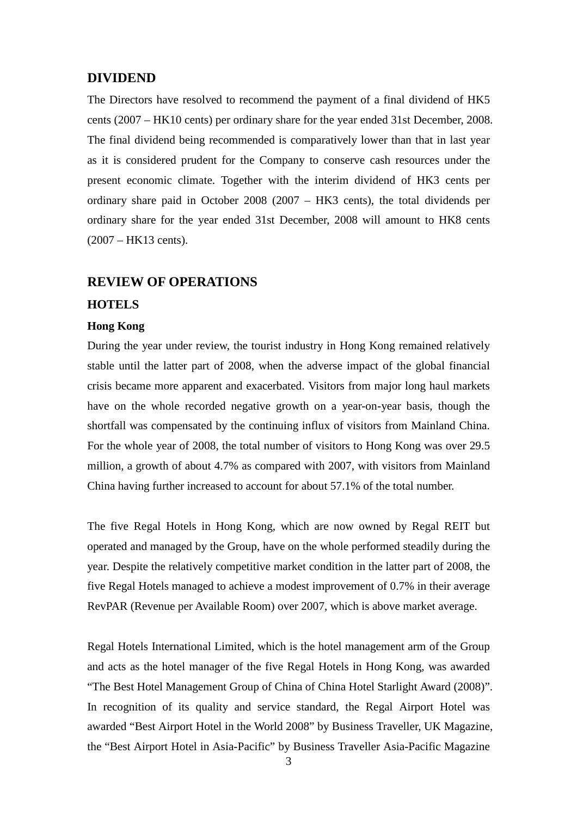# **DIVIDEND**

The Directors have resolved to recommend the payment of a final dividend of HK5 cents (2007 – HK10 cents) per ordinary share for the year ended 31st December, 2008. The final dividend being recommended is comparatively lower than that in last year as it is considered prudent for the Company to conserve cash resources under the present economic climate. Together with the interim dividend of HK3 cents per ordinary share paid in October 2008 (2007 – HK3 cents), the total dividends per ordinary share for the year ended 31st December, 2008 will amount to HK8 cents (2007 – HK13 cents).

# **REVIEW OF OPERATIONS**

### **HOTELS**

#### **Hong Kong**

During the year under review, the tourist industry in Hong Kong remained relatively stable until the latter part of 2008, when the adverse impact of the global financial crisis became more apparent and exacerbated. Visitors from major long haul markets have on the whole recorded negative growth on a year-on-year basis, though the shortfall was compensated by the continuing influx of visitors from Mainland China. For the whole year of 2008, the total number of visitors to Hong Kong was over 29.5 million, a growth of about 4.7% as compared with 2007, with visitors from Mainland China having further increased to account for about 57.1% of the total number.

The five Regal Hotels in Hong Kong, which are now owned by Regal REIT but operated and managed by the Group, have on the whole performed steadily during the year. Despite the relatively competitive market condition in the latter part of 2008, the five Regal Hotels managed to achieve a modest improvement of 0.7% in their average RevPAR (Revenue per Available Room) over 2007, which is above market average.

Regal Hotels International Limited, which is the hotel management arm of the Group and acts as the hotel manager of the five Regal Hotels in Hong Kong, was awarded "The Best Hotel Management Group of China of China Hotel Starlight Award (2008)". In recognition of its quality and service standard, the Regal Airport Hotel was awarded "Best Airport Hotel in the World 2008" by Business Traveller, UK Magazine, the "Best Airport Hotel in Asia-Pacific" by Business Traveller Asia-Pacific Magazine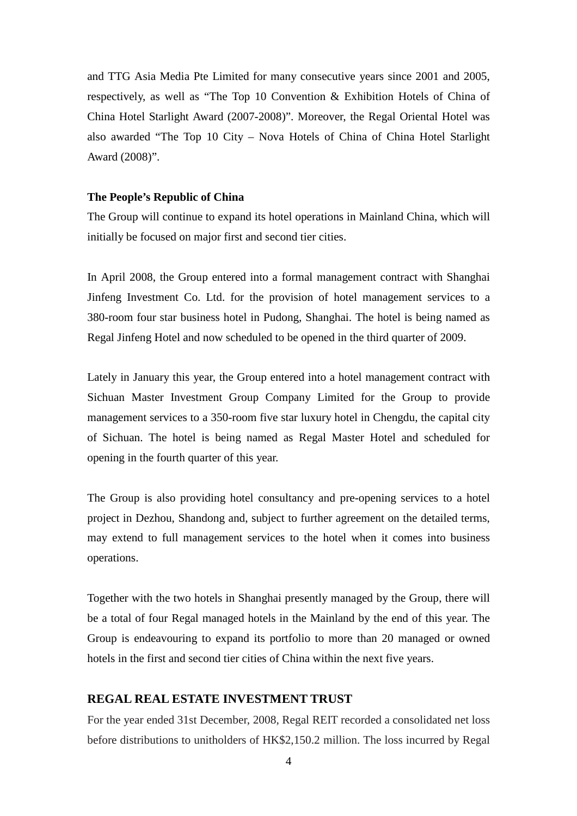and TTG Asia Media Pte Limited for many consecutive years since 2001 and 2005, respectively, as well as "The Top 10 Convention & Exhibition Hotels of China of China Hotel Starlight Award (2007-2008)". Moreover, the Regal Oriental Hotel was also awarded "The Top 10 City – Nova Hotels of China of China Hotel Starlight Award (2008)".

### **The People's Republic of China**

The Group will continue to expand its hotel operations in Mainland China, which will initially be focused on major first and second tier cities.

In April 2008, the Group entered into a formal management contract with Shanghai Jinfeng Investment Co. Ltd. for the provision of hotel management services to a 380-room four star business hotel in Pudong, Shanghai. The hotel is being named as Regal Jinfeng Hotel and now scheduled to be opened in the third quarter of 2009.

Lately in January this year, the Group entered into a hotel management contract with Sichuan Master Investment Group Company Limited for the Group to provide management services to a 350-room five star luxury hotel in Chengdu, the capital city of Sichuan. The hotel is being named as Regal Master Hotel and scheduled for opening in the fourth quarter of this year.

The Group is also providing hotel consultancy and pre-opening services to a hotel project in Dezhou, Shandong and, subject to further agreement on the detailed terms, may extend to full management services to the hotel when it comes into business operations.

Together with the two hotels in Shanghai presently managed by the Group, there will be a total of four Regal managed hotels in the Mainland by the end of this year. The Group is endeavouring to expand its portfolio to more than 20 managed or owned hotels in the first and second tier cities of China within the next five years.

# **REGAL REAL ESTATE INVESTMENT TRUST**

For the year ended 31st December, 2008, Regal REIT recorded a consolidated net loss before distributions to unitholders of HK\$2,150.2 million. The loss incurred by Regal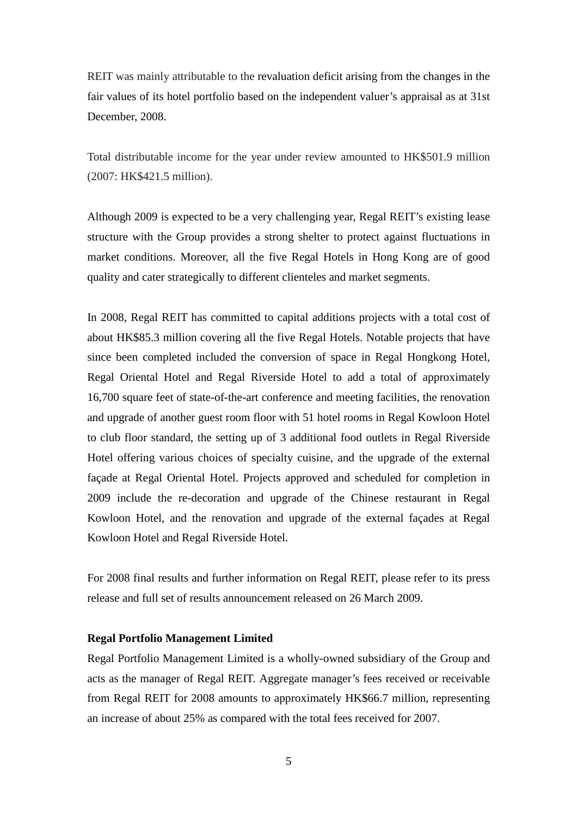REIT was mainly attributable to the revaluation deficit arising from the changes in the fair values of its hotel portfolio based on the independent valuer's appraisal as at 31st December, 2008.

Total distributable income for the year under review amounted to HK\$501.9 million (2007: HK\$421.5 million).

Although 2009 is expected to be a very challenging year, Regal REIT's existing lease structure with the Group provides a strong shelter to protect against fluctuations in market conditions. Moreover, all the five Regal Hotels in Hong Kong are of good quality and cater strategically to different clienteles and market segments.

In 2008, Regal REIT has committed to capital additions projects with a total cost of about HK\$85.3 million covering all the five Regal Hotels. Notable projects that have since been completed included the conversion of space in Regal Hongkong Hotel, Regal Oriental Hotel and Regal Riverside Hotel to add a total of approximately 16,700 square feet of state-of-the-art conference and meeting facilities, the renovation and upgrade of another guest room floor with 51 hotel rooms in Regal Kowloon Hotel to club floor standard, the setting up of 3 additional food outlets in Regal Riverside Hotel offering various choices of specialty cuisine, and the upgrade of the external façade at Regal Oriental Hotel. Projects approved and scheduled for completion in 2009 include the re-decoration and upgrade of the Chinese restaurant in Regal Kowloon Hotel, and the renovation and upgrade of the external façades at Regal Kowloon Hotel and Regal Riverside Hotel.

For 2008 final results and further information on Regal REIT, please refer to its press release and full set of results announcement released on 26 March 2009.

### **Regal Portfolio Management Limited**

Regal Portfolio Management Limited is a wholly-owned subsidiary of the Group and acts as the manager of Regal REIT. Aggregate manager's fees received or receivable from Regal REIT for 2008 amounts to approximately HK\$66.7 million, representing an increase of about 25% as compared with the total fees received for 2007.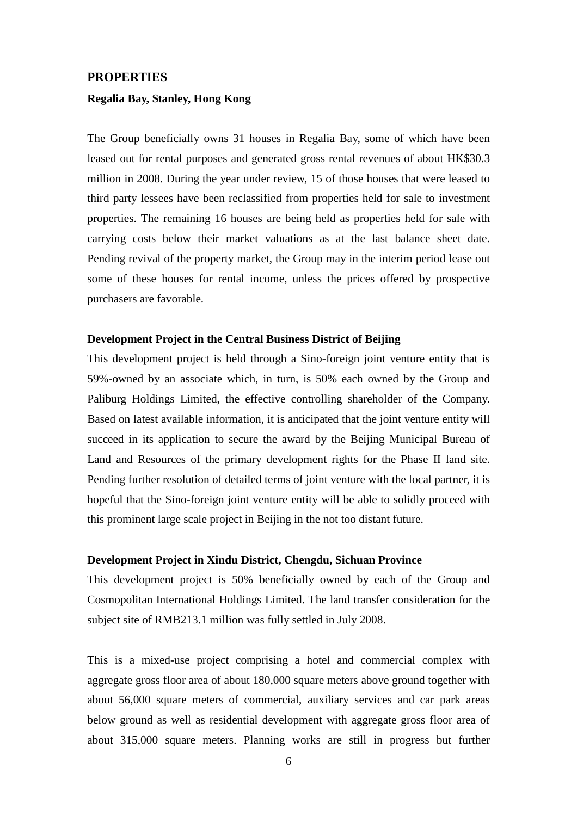#### **PROPERTIES**

### **Regalia Bay, Stanley, Hong Kong**

The Group beneficially owns 31 houses in Regalia Bay, some of which have been leased out for rental purposes and generated gross rental revenues of about HK\$30.3 million in 2008. During the year under review, 15 of those houses that were leased to third party lessees have been reclassified from properties held for sale to investment properties. The remaining 16 houses are being held as properties held for sale with carrying costs below their market valuations as at the last balance sheet date. Pending revival of the property market, the Group may in the interim period lease out some of these houses for rental income, unless the prices offered by prospective purchasers are favorable.

#### **Development Project in the Central Business District of Beijing**

This development project is held through a Sino-foreign joint venture entity that is 59%-owned by an associate which, in turn, is 50% each owned by the Group and Paliburg Holdings Limited, the effective controlling shareholder of the Company. Based on latest available information, it is anticipated that the joint venture entity will succeed in its application to secure the award by the Beijing Municipal Bureau of Land and Resources of the primary development rights for the Phase II land site. Pending further resolution of detailed terms of joint venture with the local partner, it is hopeful that the Sino-foreign joint venture entity will be able to solidly proceed with this prominent large scale project in Beijing in the not too distant future.

#### **Development Project in Xindu District, Chengdu, Sichuan Province**

This development project is 50% beneficially owned by each of the Group and Cosmopolitan International Holdings Limited. The land transfer consideration for the subject site of RMB213.1 million was fully settled in July 2008.

This is a mixed-use project comprising a hotel and commercial complex with aggregate gross floor area of about 180,000 square meters above ground together with about 56,000 square meters of commercial, auxiliary services and car park areas below ground as well as residential development with aggregate gross floor area of about 315,000 square meters. Planning works are still in progress but further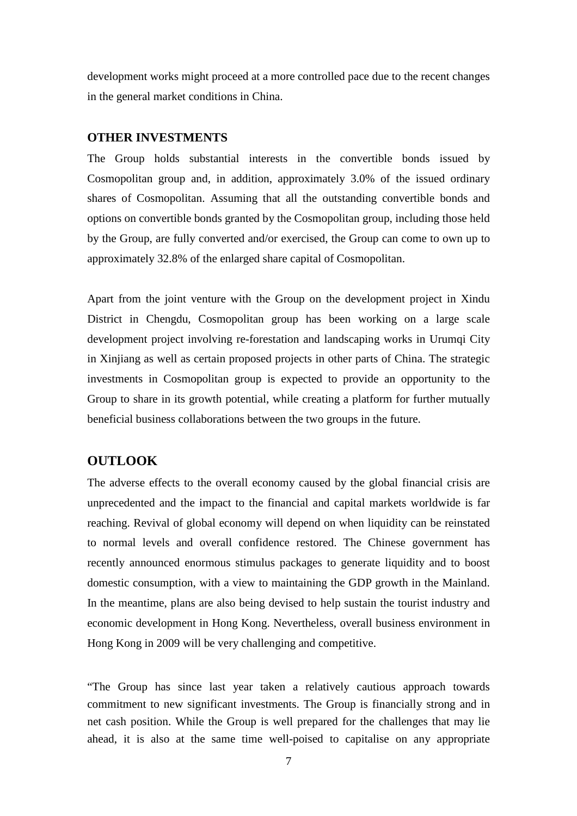development works might proceed at a more controlled pace due to the recent changes in the general market conditions in China.

# **OTHER INVESTMENTS**

The Group holds substantial interests in the convertible bonds issued by Cosmopolitan group and, in addition, approximately 3.0% of the issued ordinary shares of Cosmopolitan. Assuming that all the outstanding convertible bonds and options on convertible bonds granted by the Cosmopolitan group, including those held by the Group, are fully converted and/or exercised, the Group can come to own up to approximately 32.8% of the enlarged share capital of Cosmopolitan.

Apart from the joint venture with the Group on the development project in Xindu District in Chengdu, Cosmopolitan group has been working on a large scale development project involving re-forestation and landscaping works in Urumqi City in Xinjiang as well as certain proposed projects in other parts of China. The strategic investments in Cosmopolitan group is expected to provide an opportunity to the Group to share in its growth potential, while creating a platform for further mutually beneficial business collaborations between the two groups in the future.

# **OUTLOOK**

The adverse effects to the overall economy caused by the global financial crisis are unprecedented and the impact to the financial and capital markets worldwide is far reaching. Revival of global economy will depend on when liquidity can be reinstated to normal levels and overall confidence restored. The Chinese government has recently announced enormous stimulus packages to generate liquidity and to boost domestic consumption, with a view to maintaining the GDP growth in the Mainland. In the meantime, plans are also being devised to help sustain the tourist industry and economic development in Hong Kong. Nevertheless, overall business environment in Hong Kong in 2009 will be very challenging and competitive.

"The Group has since last year taken a relatively cautious approach towards commitment to new significant investments. The Group is financially strong and in net cash position. While the Group is well prepared for the challenges that may lie ahead, it is also at the same time well-poised to capitalise on any appropriate